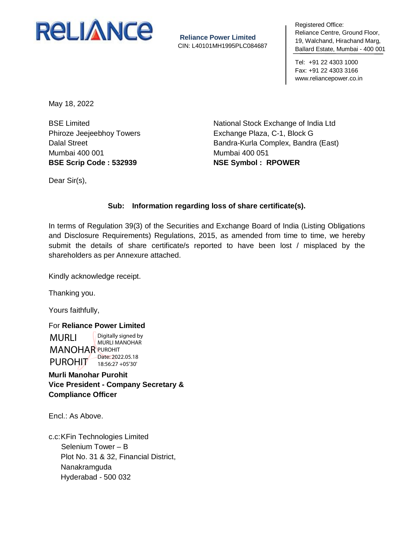

**Reliance Power Limited** CIN: L40101MH1995PLC084687 negistered Umeer<br>Reliance Centre, Ground Floor, 19, Walchand, Hirachand Marg, To, Walonaha, P Ballard Estate, Mumbai - 400 001 Registered Office:

Tel: +91 22 4303 1000 Fax: +91 22 4303 3166 www.reliancepower.co.in

May 18, 2022

BSE Limited Phiroze Jeejeebhoy Towers Dalal Street Mumbai 400 001 **BSE Scrip Code : 532939**

National Stock Exchange of India Ltd Exchange Plaza, C-1, Block G Bandra-Kurla Complex, Bandra (East) Mumbai 400 051 **NSE Symbol : RPOWER**

Dear Sir(s),

## **Sub: Information regarding loss of share certificate(s).**

In terms of Regulation 39(3) of the Securities and Exchange Board of India (Listing Obligations and Disclosure Requirements) Regulations, 2015, as amended from time to time, we hereby submit the details of share certificate/s reported to have been lost / misplaced by the shareholders as per Annexure attached.

Kindly acknowledge receipt.

Thanking you.

Yours faithfully,

For **Reliance Power Limited** MURLI **MANOHAR PUROHIT** PUROHIT Digitally signed by MURLI MANOHAR Date: 2022.05.18 18:56:27 +05'30'

**Murli Manohar Purohit Vice President - Company Secretary & Compliance Officer**

Encl.: As Above.

c.c:KFin Technologies Limited Selenium Tower – B Plot No. 31 & 32, Financial District, Nanakramguda Hyderabad - 500 032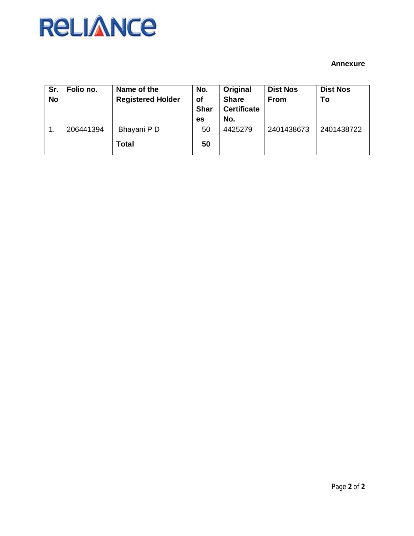## **RELIANCE**

## **Annexure**

| Sr.<br><b>No</b> | Folio no. | Name of the<br><b>Registered Holder</b> | No.<br><b>of</b><br><b>Shar</b><br>es | Original<br><b>Share</b><br><b>Certificate</b><br>No. | <b>Dist Nos</b><br><b>From</b> | <b>Dist Nos</b><br>To |
|------------------|-----------|-----------------------------------------|---------------------------------------|-------------------------------------------------------|--------------------------------|-----------------------|
|                  | 206441394 | Bhayani P D                             | 50                                    | 4425279                                               | 2401438673                     | 2401438722            |
|                  |           | Total                                   | 50                                    |                                                       |                                |                       |